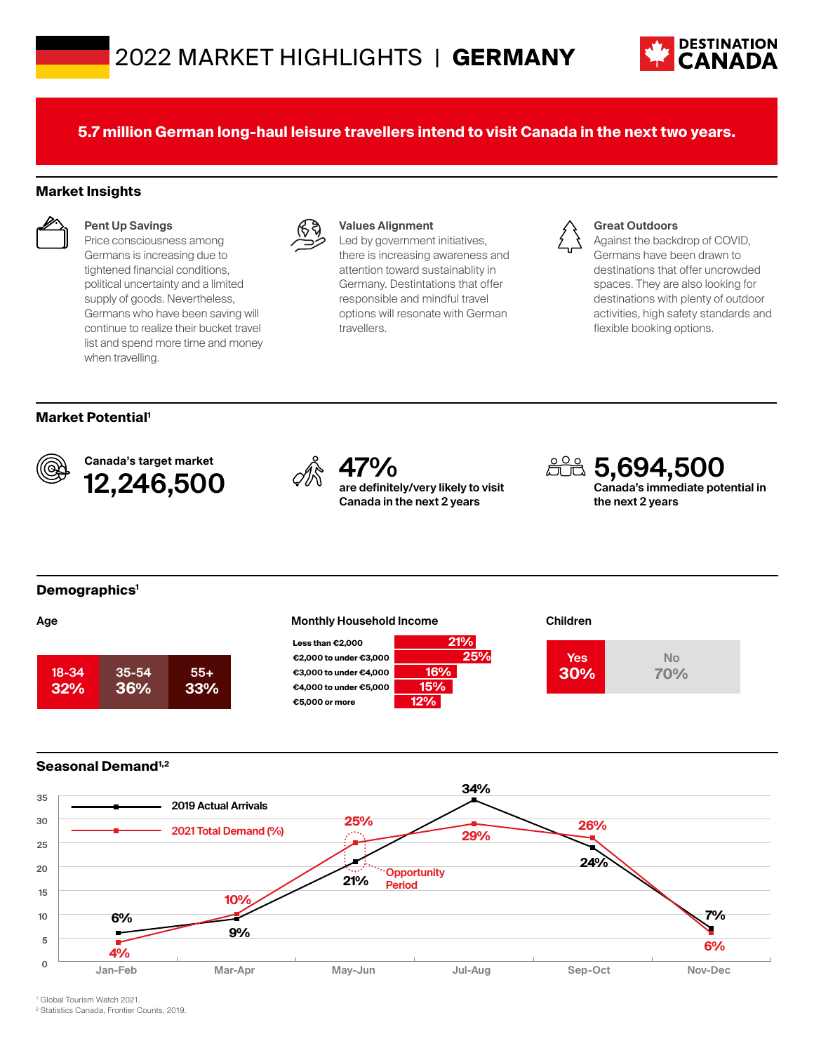

**5.7 million German long-haul leisure travellers intend to visit Canada in the next two years.**

## **Market Insights**



### **Pent Up Savings**

Price consciousness among Germans is increasing due to tightened financial conditions, political uncertainty and a limited supply of goods. Nevertheless, Germans who have been saving will continue to realize their bucket travel list and spend more time and money when travelling.



### **Values Alignment**

Led by government initiatives, there is increasing awareness and attention toward sustainablity in Germany. Destintations that offer responsible and mindful travel options will resonate with German travellers.



#### **Great Outdoors**

Against the backdrop of COVID, Germans have been drawn to destinations that offer uncrowded spaces. They are also looking for destinations with plenty of outdoor activities, high safety standards and flexible booking options.

## **Market Potential1**



Canada's target market Canada's target market<br>**12,246,500**  $\qquad \qquad \oslash \qquad \qquad \oslash \qquad \qquad \qquad \oslash \qquad \qquad \text{are definite}$ 



**are definitely/very likely to visit Canada in the next 2 years**

**5,694,500 Canada's immediate potential in** 

**the next 2 years**

**Demographics1**









## **Seasonal Demand1,2**



1 Global Tourism Watch 2021.

2 Statistics Canada, Frontier Counts, 2019.